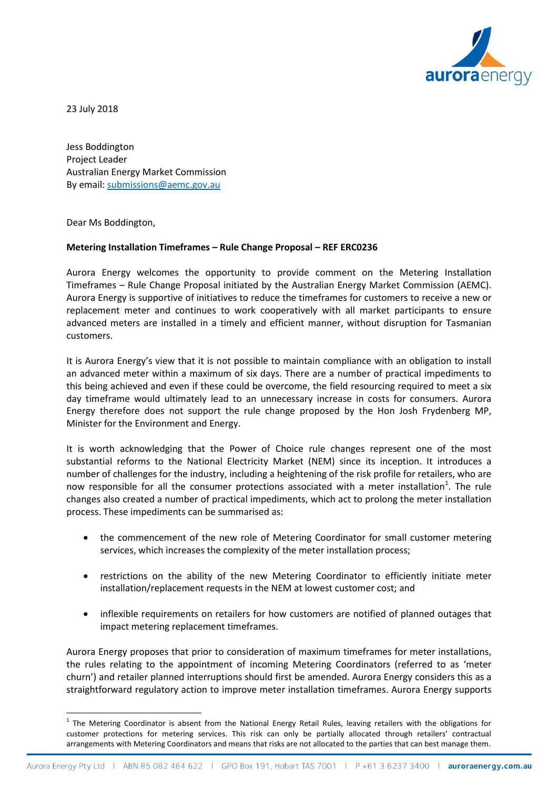

23 July 2018

Jess Boddington Project Leader Australian Energy Market Commission By email: [submissions@aemc.gov.au](mailto:submissions@aemc.gov.au)

Dear Ms Boddington,

## **Metering Installation Timeframes – Rule Change Proposal – REF ERC0236**

Aurora Energy welcomes the opportunity to provide comment on the Metering Installation Timeframes – Rule Change Proposal initiated by the Australian Energy Market Commission (AEMC). Aurora Energy is supportive of initiatives to reduce the timeframes for customers to receive a new or replacement meter and continues to work cooperatively with all market participants to ensure advanced meters are installed in a timely and efficient manner, without disruption for Tasmanian customers.

It is Aurora Energy's view that it is not possible to maintain compliance with an obligation to install an advanced meter within a maximum of six days. There are a number of practical impediments to this being achieved and even if these could be overcome, the field resourcing required to meet a six day timeframe would ultimately lead to an unnecessary increase in costs for consumers. Aurora Energy therefore does not support the rule change proposed by the Hon Josh Frydenberg MP, Minister for the Environment and Energy.

It is worth acknowledging that the Power of Choice rule changes represent one of the most substantial reforms to the National Electricity Market (NEM) since its inception. It introduces a number of challenges for the industry, including a heightening of the risk profile for retailers, who are now responsible for all the consumer protections associated with a meter installation<sup>[1](#page-0-0)</sup>. The rule changes also created a number of practical impediments, which act to prolong the meter installation process. These impediments can be summarised as:

- the commencement of the new role of Metering Coordinator for small customer metering services, which increases the complexity of the meter installation process;
- restrictions on the ability of the new Metering Coordinator to efficiently initiate meter installation/replacement requests in the NEM at lowest customer cost; and
- inflexible requirements on retailers for how customers are notified of planned outages that impact metering replacement timeframes.

Aurora Energy proposes that prior to consideration of maximum timeframes for meter installations, the rules relating to the appointment of incoming Metering Coordinators (referred to as 'meter churn') and retailer planned interruptions should first be amended. Aurora Energy considers this as a straightforward regulatory action to improve meter installation timeframes. Aurora Energy supports

<span id="page-0-0"></span> $<sup>1</sup>$  The Metering Coordinator is absent from the National Energy Retail Rules, leaving retailers with the obligations for</sup> customer protections for metering services. This risk can only be partially allocated through retailers' contractual arrangements with Metering Coordinators and means that risks are not allocated to the parties that can best manage them.